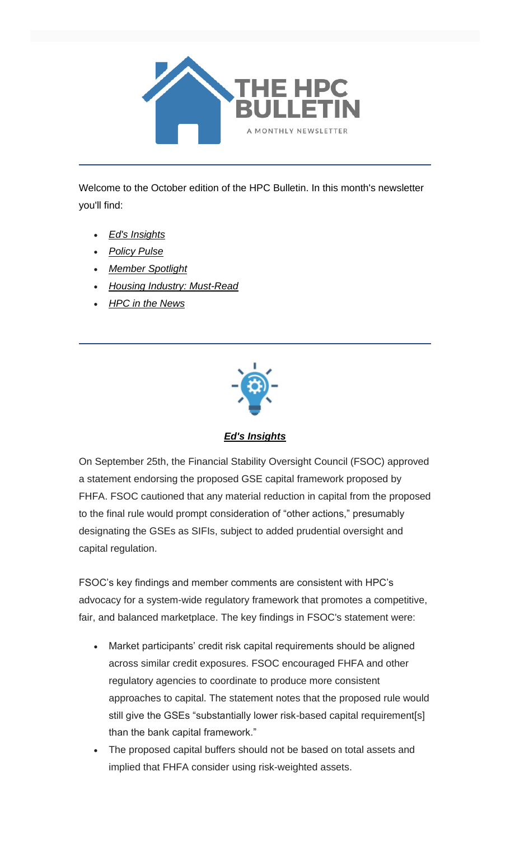

Welcome to the October edition of the HPC Bulletin. In this month's newsletter you'll find:

- *[Ed's Insights](#page-0-0)*
- *[Policy Pulse](#page-2-0)*
- *[Member Spotlight](#page-5-0)*
- *[Housing Industry: Must-Read](#page-6-0)*
- *[HPC in the News](#page-6-1)*



*Ed's Insights*

<span id="page-0-0"></span>On September 25th, the Financial Stability Oversight Council (FSOC) approved a statement endorsing the proposed GSE capital framework proposed by FHFA. FSOC cautioned that any material reduction in capital from the proposed to the final rule would prompt consideration of "other actions," presumably designating the GSEs as SIFIs, subject to added prudential oversight and capital regulation.

FSOC's key findings and member comments are consistent with HPC's advocacy for a system-wide regulatory framework that promotes a competitive, fair, and balanced marketplace. The key findings in FSOC's statement were:

- Market participants' credit risk capital requirements should be aligned across similar credit exposures. FSOC encouraged FHFA and other regulatory agencies to coordinate to produce more consistent approaches to capital. The statement notes that the proposed rule would still give the GSEs "substantially lower risk-based capital requirement[s] than the bank capital framework."
- The proposed capital buffers should not be based on total assets and implied that FHFA consider using risk-weighted assets.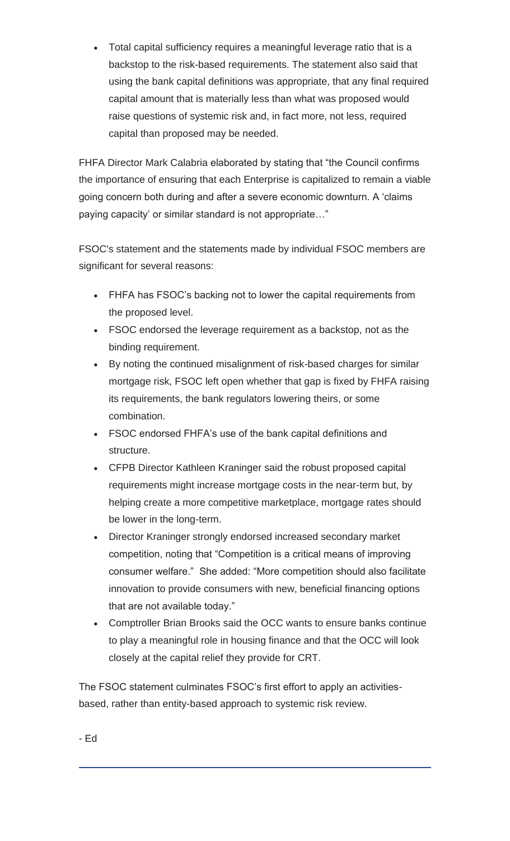• Total capital sufficiency requires a meaningful leverage ratio that is a backstop to the risk-based requirements. The statement also said that using the bank capital definitions was appropriate, that any final required capital amount that is materially less than what was proposed would raise questions of systemic risk and, in fact more, not less, required capital than proposed may be needed.

FHFA Director Mark Calabria elaborated by stating that "the Council confirms the importance of ensuring that each Enterprise is capitalized to remain a viable going concern both during and after a severe economic downturn. A 'claims paying capacity' or similar standard is not appropriate…"

FSOC's statement and the statements made by individual FSOC members are significant for several reasons:

- FHFA has FSOC's backing not to lower the capital requirements from the proposed level.
- FSOC endorsed the leverage requirement as a backstop, not as the binding requirement.
- By noting the continued misalignment of risk-based charges for similar mortgage risk, FSOC left open whether that gap is fixed by FHFA raising its requirements, the bank regulators lowering theirs, or some combination.
- FSOC endorsed FHFA's use of the bank capital definitions and structure.
- CFPB Director Kathleen Kraninger said the robust proposed capital requirements might increase mortgage costs in the near-term but, by helping create a more competitive marketplace, mortgage rates should be lower in the long-term.
- Director Kraninger strongly endorsed increased secondary market competition, noting that "Competition is a critical means of improving consumer welfare." She added: "More competition should also facilitate innovation to provide consumers with new, beneficial financing options that are not available today."
- Comptroller Brian Brooks said the OCC wants to ensure banks continue to play a meaningful role in housing finance and that the OCC will look closely at the capital relief they provide for CRT.

The FSOC statement culminates FSOC's first effort to apply an activitiesbased, rather than entity-based approach to systemic risk review.

- Ed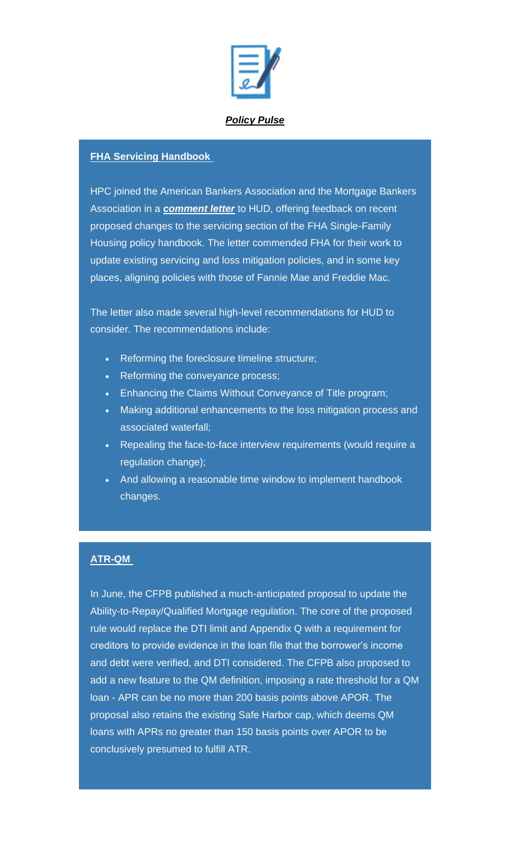

# *Policy Pulse*

#### <span id="page-2-0"></span>**FHA Servicing Handbook**

HPC joined the American Bankers Association and the Mortgage Bankers Association in a *[comment letter](https://housingpolicycouncil.us4.list-manage.com/track/click?u=5140623077e4523696cc45400&id=c868a6a709&e=c1f6e13f3b)* to HUD, offering feedback on recent proposed changes to the servicing section of the FHA Single-Family Housing policy handbook. The letter commended FHA for their work to update existing servicing and loss mitigation policies, and in some key places, aligning policies with those of Fannie Mae and Freddie Mac.

The letter also made several high-level recommendations for HUD to consider. The recommendations include:

- Reforming the foreclosure timeline structure;
- Reforming the conveyance process;
- Enhancing the Claims Without Conveyance of Title program;
- Making additional enhancements to the loss mitigation process and associated waterfall;
- Repealing the face-to-face interview requirements (would require a regulation change);
- And allowing a reasonable time window to implement handbook changes.

## **ATR-QM**

In June, the CFPB published a much-anticipated proposal to update the Ability-to-Repay/Qualified Mortgage regulation. The core of the proposed rule would replace the DTI limit and Appendix Q with a requirement for creditors to provide evidence in the loan file that the borrower's income and debt were verified, and DTI considered. The CFPB also proposed to add a new feature to the QM definition, imposing a rate threshold for a QM loan - APR can be no more than 200 basis points above APOR. The proposal also retains the existing Safe Harbor cap, which deems QM loans with APRs no greater than 150 basis points over APOR to be conclusively presumed to fulfill ATR.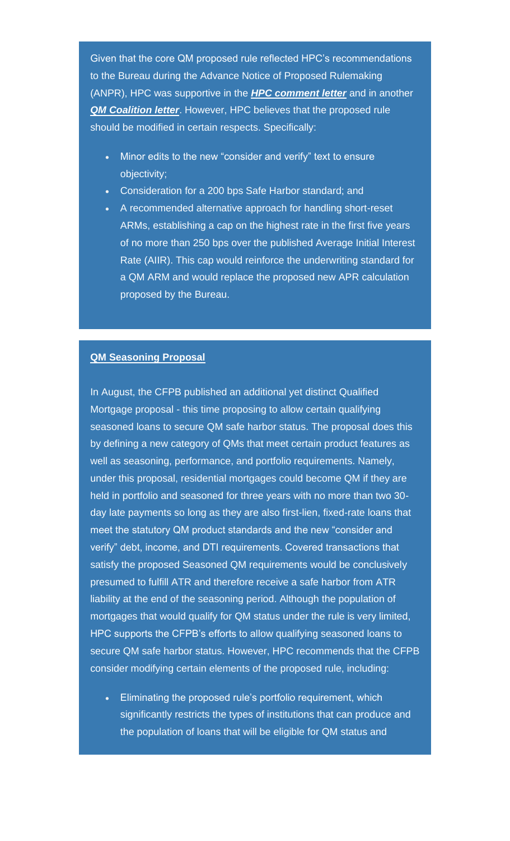Given that the core QM proposed rule reflected HPC's recommendations to the Bureau during the Advance Notice of Proposed Rulemaking (ANPR), HPC was supportive in the *[HPC comment letter](https://housingpolicycouncil.us4.list-manage.com/track/click?u=5140623077e4523696cc45400&id=4fa7d71c5f&e=c1f6e13f3b)* and in another **[QM Coalition letter](https://housingpolicycouncil.us4.list-manage.com/track/click?u=5140623077e4523696cc45400&id=e6493fe858&e=c1f6e13f3b)**. However, HPC believes that the proposed rule should be modified in certain respects. Specifically:

- Minor edits to the new "consider and verify" text to ensure objectivity;
- Consideration for a 200 bps Safe Harbor standard; and
- A recommended alternative approach for handling short-reset ARMs, establishing a cap on the highest rate in the first five years of no more than 250 bps over the published Average Initial Interest Rate (AIIR). This cap would reinforce the underwriting standard for a QM ARM and would replace the proposed new APR calculation proposed by the Bureau.

#### **QM Seasoning Proposal**

In August, the CFPB published an additional yet distinct Qualified Mortgage proposal - this time proposing to allow certain qualifying seasoned loans to secure QM safe harbor status. The proposal does this by defining a new category of QMs that meet certain product features as well as seasoning, performance, and portfolio requirements. Namely, under this proposal, residential mortgages could become QM if they are held in portfolio and seasoned for three years with no more than two 30 day late payments so long as they are also first-lien, fixed-rate loans that meet the statutory QM product standards and the new "consider and verify" debt, income, and DTI requirements. Covered transactions that satisfy the proposed Seasoned QM requirements would be conclusively presumed to fulfill ATR and therefore receive a safe harbor from ATR liability at the end of the seasoning period. Although the population of mortgages that would qualify for QM status under the rule is very limited, HPC supports the CFPB's efforts to allow qualifying seasoned loans to secure QM safe harbor status. However, HPC recommends that the CFPB consider modifying certain elements of the proposed rule, including:

• Eliminating the proposed rule's portfolio requirement, which significantly restricts the types of institutions that can produce and the population of loans that will be eligible for QM status and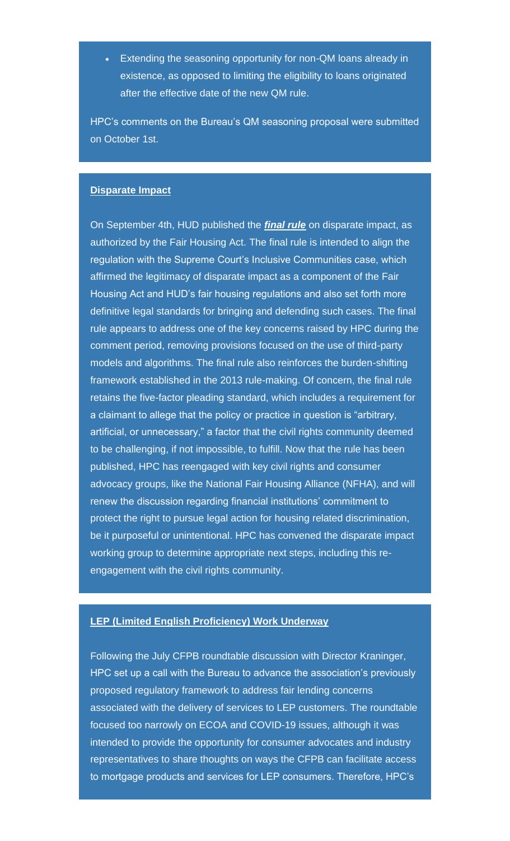• Extending the seasoning opportunity for non-QM loans already in existence, as opposed to limiting the eligibility to loans originated after the effective date of the new QM rule.

HPC's comments on the Bureau's QM seasoning proposal were submitted on October 1st.

#### **Disparate Impact**

On September 4th, HUD published the *[final rule](https://housingpolicycouncil.us4.list-manage.com/track/click?u=5140623077e4523696cc45400&id=b24e6bc377&e=c1f6e13f3b)* on disparate impact, as authorized by the Fair Housing Act. The final rule is intended to align the regulation with the Supreme Court's Inclusive Communities case, which affirmed the legitimacy of disparate impact as a component of the Fair Housing Act and HUD's fair housing regulations and also set forth more definitive legal standards for bringing and defending such cases. The final rule appears to address one of the key concerns raised by HPC during the comment period, removing provisions focused on the use of third-party models and algorithms. The final rule also reinforces the burden-shifting framework established in the 2013 rule-making. Of concern, the final rule retains the five-factor pleading standard, which includes a requirement for a claimant to allege that the policy or practice in question is "arbitrary, artificial, or unnecessary," a factor that the civil rights community deemed to be challenging, if not impossible, to fulfill. Now that the rule has been published, HPC has reengaged with key civil rights and consumer advocacy groups, like the National Fair Housing Alliance (NFHA), and will renew the discussion regarding financial institutions' commitment to protect the right to pursue legal action for housing related discrimination, be it purposeful or unintentional. HPC has convened the disparate impact working group to determine appropriate next steps, including this reengagement with the civil rights community.

#### **LEP (Limited English Proficiency) Work Underway**

Following the July CFPB roundtable discussion with Director Kraninger, HPC set up a call with the Bureau to advance the association's previously proposed regulatory framework to address fair lending concerns associated with the delivery of services to LEP customers. The roundtable focused too narrowly on ECOA and COVID-19 issues, although it was intended to provide the opportunity for consumer advocates and industry representatives to share thoughts on ways the CFPB can facilitate access to mortgage products and services for LEP consumers. Therefore, HPC's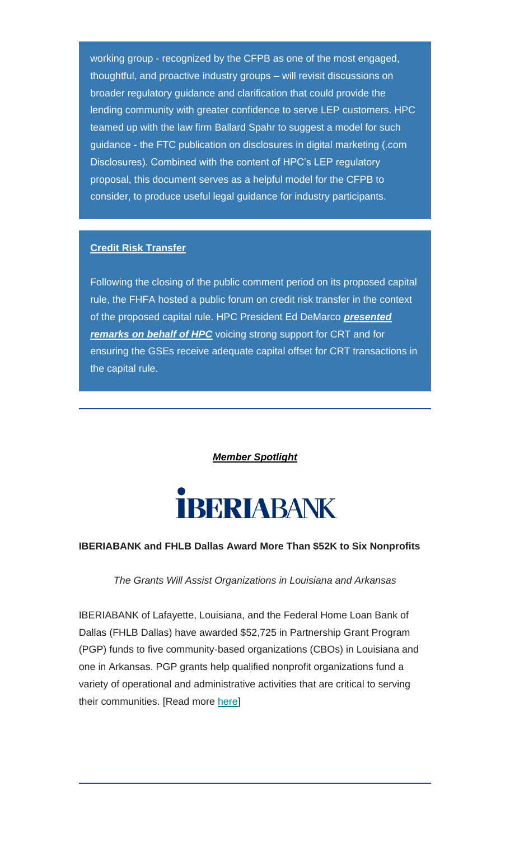working group - recognized by the CFPB as one of the most engaged, thoughtful, and proactive industry groups – will revisit discussions on broader regulatory guidance and clarification that could provide the lending community with greater confidence to serve LEP customers. HPC teamed up with the law firm Ballard Spahr to suggest a model for such guidance - the FTC publication on disclosures in digital marketing (.com Disclosures). Combined with the content of HPC's LEP regulatory proposal, this document serves as a helpful model for the CFPB to consider, to produce useful legal guidance for industry participants.

## **Credit Risk Transfer**

Following the closing of the public comment period on its proposed capital rule, the FHFA hosted a public forum on credit risk transfer in the context of the proposed capital rule. HPC President Ed DeMarco *[presented](https://housingpolicycouncil.us4.list-manage.com/track/click?u=5140623077e4523696cc45400&id=84c844f0de&e=c1f6e13f3b)*  **[remarks on behalf of HPC](https://housingpolicycouncil.us4.list-manage.com/track/click?u=5140623077e4523696cc45400&id=84c844f0de&e=c1f6e13f3b)** voicing strong support for CRT and for ensuring the GSEs receive adequate capital offset for CRT transactions in the capital rule.

*Member Spotlight*



## <span id="page-5-0"></span>**IBERIABANK and FHLB Dallas Award More Than \$52K to Six Nonprofits**

#### *The Grants Will Assist Organizations in Louisiana and Arkansas*

IBERIABANK of Lafayette, Louisiana, and the Federal Home Loan Bank of Dallas (FHLB Dallas) have awarded \$52,725 in Partnership Grant Program (PGP) funds to five community-based organizations (CBOs) in Louisiana and one in Arkansas. PGP grants help qualified nonprofit organizations fund a variety of operational and administrative activities that are critical to serving their communities. [Read more [here\]](https://housingpolicycouncil.us4.list-manage.com/track/click?u=5140623077e4523696cc45400&id=42add35777&e=c1f6e13f3b)